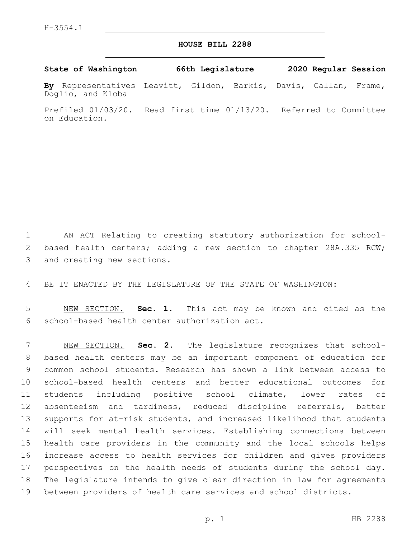## **HOUSE BILL 2288**

**State of Washington 66th Legislature 2020 Regular Session**

**By** Representatives Leavitt, Gildon, Barkis, Davis, Callan, Frame, Doglio, and Kloba

Prefiled 01/03/20. Read first time 01/13/20. Referred to Committee on Education.

 AN ACT Relating to creating statutory authorization for school- based health centers; adding a new section to chapter 28A.335 RCW; 3 and creating new sections.

BE IT ENACTED BY THE LEGISLATURE OF THE STATE OF WASHINGTON:

 NEW SECTION. **Sec. 1.** This act may be known and cited as the school-based health center authorization act.

 NEW SECTION. **Sec. 2.** The legislature recognizes that school- based health centers may be an important component of education for common school students. Research has shown a link between access to school-based health centers and better educational outcomes for students including positive school climate, lower rates of absenteeism and tardiness, reduced discipline referrals, better supports for at-risk students, and increased likelihood that students will seek mental health services. Establishing connections between health care providers in the community and the local schools helps increase access to health services for children and gives providers perspectives on the health needs of students during the school day. The legislature intends to give clear direction in law for agreements between providers of health care services and school districts.